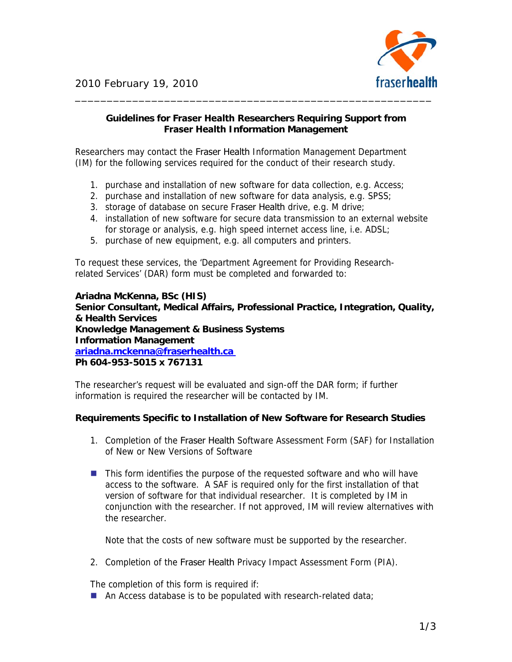

## **Guidelines for Fraser Health Researchers Requiring Support from Fraser Health Information Management**

Researchers may contact the Fraser Health Information Management Department (IM) for the following services required for the conduct of their research study.

- 1. purchase and installation of new software for data collection, e.g. Access;
- 2. purchase and installation of new software for data analysis, e.g. SPSS;
- 3. storage of database on secure Fraser Health drive, e.g. M drive;
- 4. installation of new software for secure data transmission to an external website for storage or analysis, e.g. high speed internet access line, i.e. ADSL;
- 5. purchase of new equipment, e.g. all computers and printers.

To request these services, the 'Department Agreement for Providing Researchrelated Services' (DAR) form must be completed and forwarded to:

**Ariadna McKenna, BSc (HIS) Senior Consultant, Medical Affairs, Professional Practice, Integration, Quality, & Health Services Knowledge Management & Business Systems Information Management ariadna.mckenna@fraserhealth.ca Ph 604-953-5015 x 767131** 

The researcher's request will be evaluated and sign-off the DAR form; if further information is required the researcher will be contacted by IM.

## **Requirements Specific to Installation of New Software for Research Studies**

- 1. Completion of the Fraser Health Software Assessment Form (SAF) for Installation of New or New Versions of Software
- **This form identifies the purpose of the requested software and who will have** access to the software. A SAF is required only for the first installation of that version of software for that individual researcher. It is completed by IM in conjunction with the researcher. If not approved, IM will review alternatives with the researcher.

Note that the costs of new software must be supported by the researcher.

2. Completion of the Fraser Health Privacy Impact Assessment Form (PIA).

The completion of this form is required if:

An Access database is to be populated with research-related data;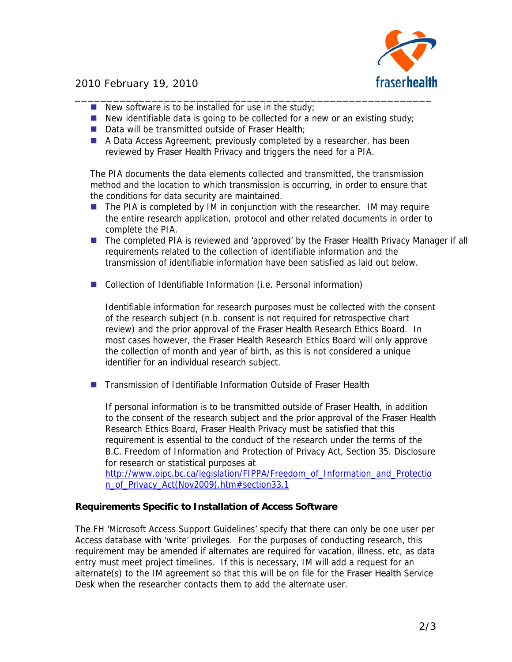

## 2010 February 19, 2010

- New software is to be installed for use in the study;
- $\blacksquare$  New identifiable data is going to be collected for a new or an existing study;
- Data will be transmitted outside of Fraser Health;
- A Data Access Agreement, previously completed by a researcher, has been reviewed by Fraser Health Privacy and triggers the need for a PIA.

The PIA documents the data elements collected and transmitted, the transmission method and the location to which transmission is occurring, in order to ensure that the conditions for data security are maintained.

- $\blacksquare$  The PIA is completed by IM in conjunction with the researcher. IM may require the entire research application, protocol and other related documents in order to complete the PIA.
- **The completed PIA is reviewed and 'approved' by the Fraser Health Privacy Manager if all** requirements related to the collection of identifiable information and the transmission of identifiable information have been satisfied as laid out below.
- Collection of Identifiable Information (i.e. Personal information)

Identifiable information for research purposes must be collected with the consent of the research subject (n.b. consent is not required for retrospective chart review) and the prior approval of the Fraser Health Research Ethics Board. In most cases however, the Fraser Health Research Ethics Board will only approve the collection of month and year of birth, as this is not considered a unique identifier for an individual research subject.

**The Transmission of Identifiable Information Outside of Fraser Health** 

If personal information is to be transmitted outside of Fraser Health, in addition to the consent of the research subject and the prior approval of the Fraser Health Research Ethics Board, Fraser Health Privacy must be satisfied that this requirement is essential to the conduct of the research under the terms of the B.C. Freedom of Information and Protection of Privacy Act, Section 35. Disclosure for research or statistical purposes at

[http://www.oipc.bc.ca/legislation/FIPPA/Freedom\\_of\\_Information\\_and\\_Protectio](http://www.oipc.bc.ca/legislation/FIPPA/Freedom_of_Information_and_Protection_of_Privacy_Act(Nov2009).htm#section33.1) [n\\_of\\_Privacy\\_Act\(Nov2009\).htm#section33.1](http://www.oipc.bc.ca/legislation/FIPPA/Freedom_of_Information_and_Protection_of_Privacy_Act(Nov2009).htm#section33.1)

## **Requirements Specific to Installation of Access Software**

The FH 'Microsoft Access Support Guidelines' specify that there can only be one user per Access database with 'write' privileges. For the purposes of conducting research, this requirement may be amended if alternates are required for vacation, illness, etc, as data entry must meet project timelines. If this is necessary, IM will add a request for an alternate(s) to the IM agreement so that this will be on file for the Fraser Health Service Desk when the researcher contacts them to add the alternate user.